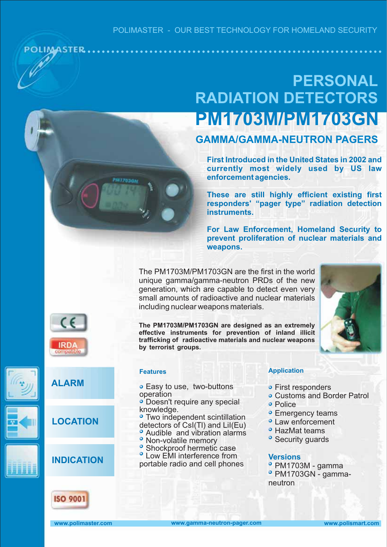# **PM1703M/PM1703GN PERSONAL RADIATION DETECTORS**

**GAMMA/GAMMA-NEUTRON PAGERS**

**First Introduced in the United States in 2002 and currently most widely used by US law enforcement agencies.**

**These are still highly efficient existing first responders' "pager type" radiation detection instrument s.**

**For Law Enforcement, Homeland Security to prevent proliferation of nuclear materials and weapons.**

The PM1703M/PM1703GN are the first in the world unique gamma/gamma-neutron PRDs of the new generation, which are capable to detect even very small amounts of radioactive and nuclear materials including nuclear weapons materials.

The PM1703M/PM1703GN are designed as an extremely effective instruments for prevention of inland illicit **trafficking of radioactive materials and nuclear weapons by terrorist groups.**



#### **Features**

- Easy to use, two-buttons operation
- D oesn't require any special knowledge.
- Two independent scintillation detectors of CsI(Tl) and LiI(Eu)
- Audible and vibration alarms
- Non-volatile memory <sup>o</sup> Shockproof hermetic case
- Low EMI interference from

portable radio and cell phones

#### **Application**

- **•** First responders
- **Customs and Border Patrol**
- **•** Police
- **•** Emergency teams
- Law enforcement
- **HazMat teams**
- **•** Security guards

#### **Versions**

PM1703M - gamma PM1703GN - gammaneutron

 $\epsilon$ IRD/ compatible

OLIMASTER....

**ALARM**

**LOCATION**

**INDICATION**



**ISO 900**